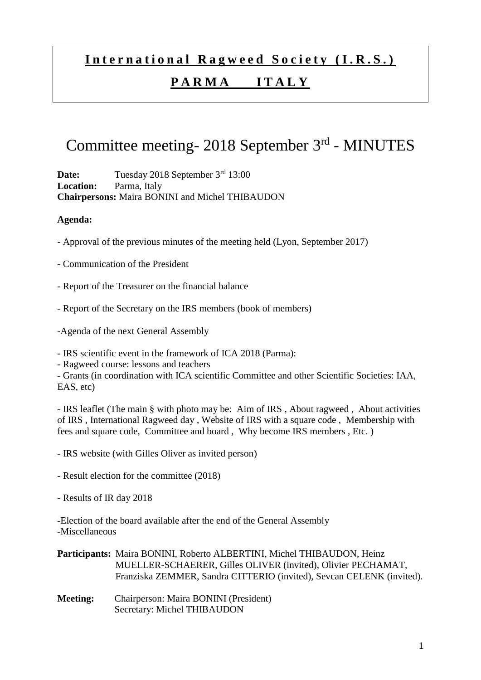# **I n t e r n a t i o n a l R a g w e e d S o c i e t y ( I . R . S . )**

### **P A R M A I T A L Y**

## Committee meeting- 2018 September 3rd - MINUTES

**Date:** Tuesday 2018 September 3<sup>rd</sup> 13:00 **Location:** Parma, Italy **Chairpersons:** Maira BONINI and Michel THIBAUDON

#### **Agenda:**

- Approval of the previous minutes of the meeting held (Lyon, September 2017)
- Communication of the President
- Report of the Treasurer on the financial balance
- Report of the Secretary on the IRS members (book of members)
- -Agenda of the next General Assembly
- IRS scientific event in the framework of ICA 2018 (Parma):
- Ragweed course: lessons and teachers

- Grants (in coordination with ICA scientific Committee and other Scientific Societies: IAA, EAS, etc)

- IRS leaflet (The main § with photo may be: Aim of IRS , About ragweed , About activities of IRS , International Ragweed day , Website of IRS with a square code , Membership with fees and square code, Committee and board , Why become IRS members , Etc. )

- IRS website (with Gilles Oliver as invited person)
- Result election for the committee (2018)
- Results of IR day 2018

-Election of the board available after the end of the General Assembly -Miscellaneous

#### **Participants:** Maira BONINI, Roberto ALBERTINI, Michel THIBAUDON, Heinz MUELLER-SCHAERER, Gilles OLIVER (invited), Olivier PECHAMAT, Franziska ZEMMER, Sandra CITTERIO (invited), Sevcan CELENK (invited).

**Meeting:** Chairperson: Maira BONINI (President) Secretary: Michel THIBAUDON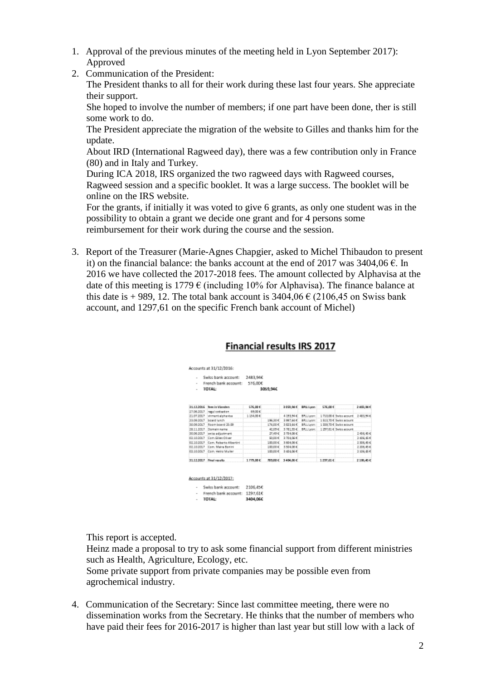- 1. Approval of the previous minutes of the meeting held in Lyon September 2017): Approved
- 2. Communication of the President:

The President thanks to all for their work during these last four years. She appreciate their support.

She hoped to involve the number of members; if one part have been done, ther is still some work to do.

The President appreciate the migration of the website to Gilles and thanks him for the update.

About IRD (International Ragweed day), there was a few contribution only in France (80) and in Italy and Turkey.

During ICA 2018, IRS organized the two ragweed days with Ragweed courses, Ragweed session and a specific booklet. It was a large success. The booklet will be online on the IRS website.

For the grants, if initially it was voted to give 6 grants, as only one student was in the possibility to obtain a grant we decide one grant and for 4 persons some reimbursement for their work during the course and the session.

3. Report of the Treasurer (Marie-Agnes Chapgier, asked to Michel Thibaudon to present it) on the financial balance: the banks account at the end of 2017 was  $3404.06 \in$ . In 2016 we have collected the 2017-2018 fees. The amount collected by Alphavisa at the date of this meeting is 1779  $\epsilon$  (including 10% for Alphavisa). The finance balance at this date is + 989, 12. The total bank account is  $3404.06 \in (2106.45 \text{ on Swiss bank})$ account, and 1297,61 on the specific French bank account of Michel)

#### Financial results IRS 2017

| $\sim$<br>$\;$<br>$\overline{a}$ | Swiss bank account:<br>French bank account:<br><b>TOTAL:</b> | 2483.94E<br>576,00€ | 3059,946 |              |                   |            |                           |            |
|----------------------------------|--------------------------------------------------------------|---------------------|----------|--------------|-------------------|------------|---------------------------|------------|
| 21.12.2066                       | fees in Vianden                                              | \$76,00 €           |          | 3 059,94 €   | <b>BPSL Lyces</b> | \$76,00 €  |                           | 2453,96 €  |
| 27.06.2027                       | regul cotteston                                              | 69.00 €             |          |              |                   |            |                           |            |
|                                  | 21.07.2017 Ivirment alphavisa                                | 1154.00€            |          | 4193,944     | BRLL (yon:        |            | 3 710.00 € Swiss acount   | 2483,94 €  |
| 22.09.2017                       | board lunch                                                  |                     | 196306   | 3997.66 €    | <b>前列上Lugar:</b>  |            | 5 \$12.70 € Swiss acours: |            |
| 30.09.3067                       | Room board 22.09                                             |                     | 174.00 C | 3 92 3, 64 C | BRLLWon:          |            | 1 229.70 € Swiss acount   |            |
| 28.11.2017                       | Domain name                                                  |                     | 42,0940  | 3781354      | BRLL Lyon:        |            | 1 297.61 € Swiss acount   |            |
| 50.06.2017                       | pwiss adjustment.                                            |                     | 27.49 C  | 375406 €     |                   |            |                           | 2455.454   |
| 02:10:2057                       | Com Glies Oliver                                             |                     | 20,00€   | 2704.06 C    |                   |            |                           | 2406,454   |
|                                  | 02.10.2017 Com. Roberto Albertini                            |                     | 100.00 C | 3 80 4 06 €  |                   |            |                           | 2308-040   |
|                                  | 02.10.2017 Com, Maira Sonini                                 |                     | 100.00 E | 3504.06 €    |                   |            |                           | 2396.45 €  |
| 02:10:2017                       | Com. Heinz Muller                                            |                     | 300,00€  | 2404.06 €    |                   |            |                           | 2:106.45 € |
|                                  | 31.12.2017 Final results                                     | 17月20日              | 789,88 € | 3404,06 €    |                   | 1.257,61 € |                           | 2106.45 €  |

| $\overline{\phantom{a}}$ | Swiss bank account: 2106.45€  |          |
|--------------------------|-------------------------------|----------|
| ۰                        | French bank account: 1297.61€ |          |
|                          | <b>TOTAL:</b>                 | 3404.066 |

This report is accepted.

Heinz made a proposal to try to ask some financial support from different ministries such as Health, Agriculture, Ecology, etc.

Some private support from private companies may be possible even from agrochemical industry.

4. Communication of the Secretary: Since last committee meeting, there were no dissemination works from the Secretary. He thinks that the number of members who have paid their fees for 2016-2017 is higher than last year but still low with a lack of